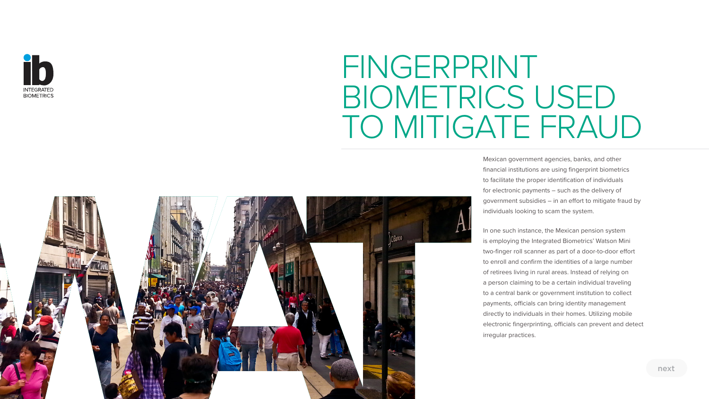

## FINGERPRINT BIOMETRICS USED TO MITIGATE FRAUD



Mexican government agencies, banks, and other financial institutions are using fingerprint biometrics to facilitate the proper identification of individuals for electronic payments – such as the delivery of government subsidies – in an effort to mitigate fraud by individuals looking to scam the system.

In one such instance, the Mexican pension system is employing the Integrated Biometrics' Watson Mini two-finger roll scanner as part of a door-to-door effort to enroll and confirm the identities of a large number of retirees living in rural areas. Instead of relying on a person claiming to be a certain individual traveling to a central bank or government institution to collect payments, officials can bring identity management directly to individuals in their homes. Utilizing mobile electronic fingerprinting, officials can prevent and detect irregular practices.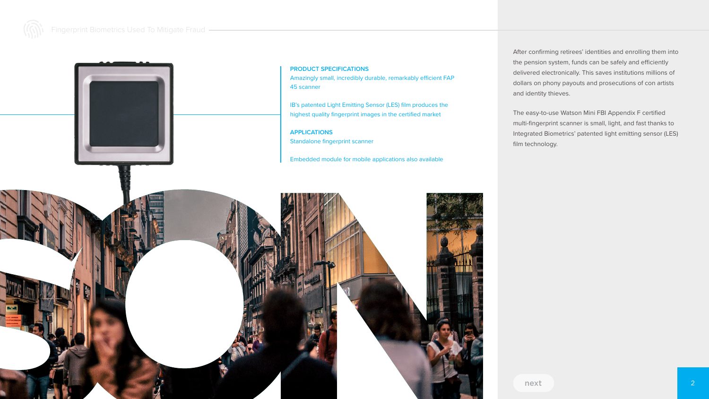Fingerprint Biometrics Used To Mitigate Fraud



**PRODUCT SPECIFICATIONS**

Amazingly small, incredibly durable, remarkably efficient FAP 45 scanner

IB's patented Light Emitting Sensor (LES) film produces the highest quality fingerprint images in the certified market

**APPLICATIONS** Standalone fingerprint scanner

Embedded module for mobile applications also available

After confirming retirees' identities and enrolling them into the pension system, funds can be safely and efficiently delivered electronically. This saves institutions millions of dollars on phony payouts and prosecutions of con artists and identity thieves.

The easy-to-use Watson Mini FBI Appendix F certified multi-fingerprint scanner is small, light, and fast thanks to Integrated Biometrics' patented light emitting sensor (LES) film technology.